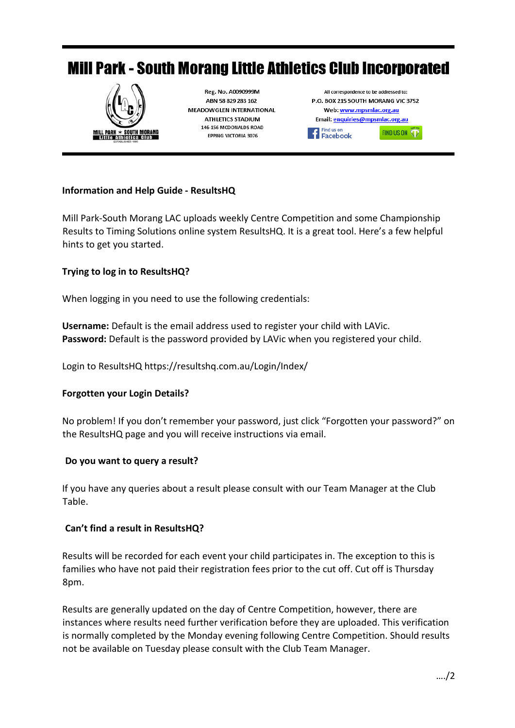# **Mill Park - South Morang Little Athletics Club Incorporated**



## **Information and Help Guide - ResultsHQ**

Mill Park-South Morang LAC uploads weekly Centre Competition and some Championship Results to Timing Solutions online system ResultsHQ. It is a great tool. Here's a few helpful hints to get you started.

## **Trying to log in to ResultsHQ?**

When logging in you need to use the following credentials:

**Username:** Default is the email address used to register your child with LAVic. **Password:** Default is the password provided by LAVic when you registered your child.

Login to ResultsHQ https://resultshq.com.au/Login/Index/

#### **Forgotten your Login Details?**

No problem! If you don't remember your password, just click "Forgotten your password?" on the ResultsHQ page and you will receive instructions via email.

#### **Do you want to query a result?**

If you have any queries about a result please consult with our Team Manager at the Club Table.

#### **Can't find a result in ResultsHQ?**

Results will be recorded for each event your child participates in. The exception to this is families who have not paid their registration fees prior to the cut off. Cut off is Thursday 8pm.

Results are generally updated on the day of Centre Competition, however, there are instances where results need further verification before they are uploaded. This verification is normally completed by the Monday evening following Centre Competition. Should results not be available on Tuesday please consult with the Club Team Manager.